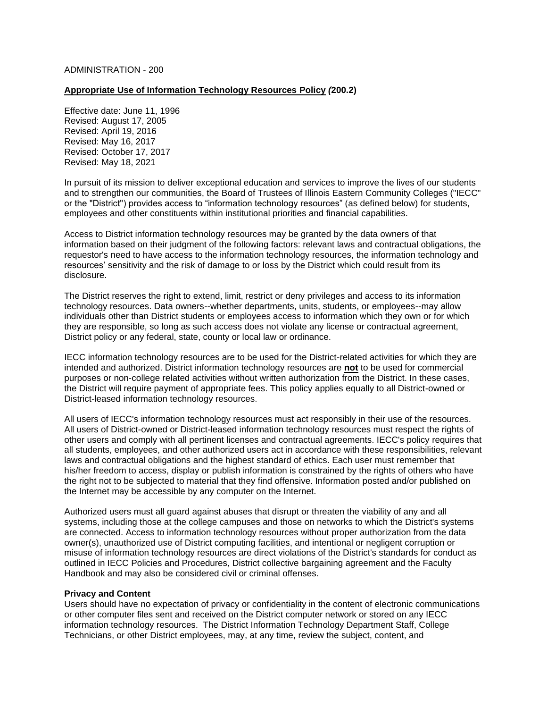### ADMINISTRATION - 200

#### **Appropriate Use of Information Technology Resources Policy** *(***200.2)**

Effective date: June 11, 1996 Revised: August 17, 2005 Revised: April 19, 2016 Revised: May 16, 2017 Revised: October 17, 2017 Revised: May 18, 2021

In pursuit of its mission to deliver exceptional education and services to improve the lives of our students and to strengthen our communities, the Board of Trustees of Illinois Eastern Community Colleges ("IECC" or the "District") provides access to "information technology resources" (as defined below) for students, employees and other constituents within institutional priorities and financial capabilities.

Access to District information technology resources may be granted by the data owners of that information based on their judgment of the following factors: relevant laws and contractual obligations, the requestor's need to have access to the information technology resources, the information technology and resources' sensitivity and the risk of damage to or loss by the District which could result from its disclosure.

The District reserves the right to extend, limit, restrict or deny privileges and access to its information technology resources. Data owners--whether departments, units, students, or employees--may allow individuals other than District students or employees access to information which they own or for which they are responsible, so long as such access does not violate any license or contractual agreement, District policy or any federal, state, county or local law or ordinance.

IECC information technology resources are to be used for the District-related activities for which they are intended and authorized. District information technology resources are **not** to be used for commercial purposes or non-college related activities without written authorization from the District. In these cases, the District will require payment of appropriate fees. This policy applies equally to all District-owned or District-leased information technology resources.

All users of IECC's information technology resources must act responsibly in their use of the resources. All users of District-owned or District-leased information technology resources must respect the rights of other users and comply with all pertinent licenses and contractual agreements. IECC's policy requires that all students, employees, and other authorized users act in accordance with these responsibilities, relevant laws and contractual obligations and the highest standard of ethics. Each user must remember that his/her freedom to access, display or publish information is constrained by the rights of others who have the right not to be subjected to material that they find offensive. Information posted and/or published on the Internet may be accessible by any computer on the Internet.

Authorized users must all guard against abuses that disrupt or threaten the viability of any and all systems, including those at the college campuses and those on networks to which the District's systems are connected. Access to information technology resources without proper authorization from the data owner(s), unauthorized use of District computing facilities, and intentional or negligent corruption or misuse of information technology resources are direct violations of the District's standards for conduct as outlined in IECC Policies and Procedures, District collective bargaining agreement and the Faculty Handbook and may also be considered civil or criminal offenses.

#### **Privacy and Content**

Users should have no expectation of privacy or confidentiality in the content of electronic communications or other computer files sent and received on the District computer network or stored on any IECC information technology resources. The District Information Technology Department Staff, College Technicians, or other District employees, may, at any time, review the subject, content, and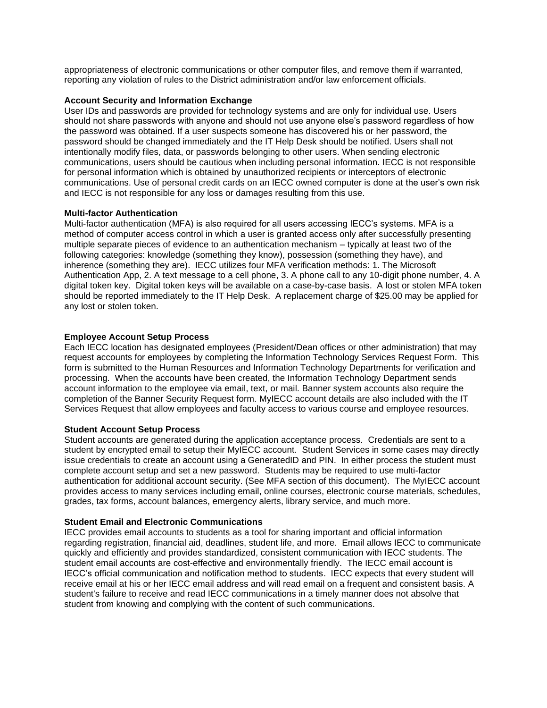appropriateness of electronic communications or other computer files, and remove them if warranted, reporting any violation of rules to the District administration and/or law enforcement officials.

## **Account Security and Information Exchange**

User IDs and passwords are provided for technology systems and are only for individual use. Users should not share passwords with anyone and should not use anyone else's password regardless of how the password was obtained. If a user suspects someone has discovered his or her password, the password should be changed immediately and the IT Help Desk should be notified. Users shall not intentionally modify files, data, or passwords belonging to other users. When sending electronic communications, users should be cautious when including personal information. IECC is not responsible for personal information which is obtained by unauthorized recipients or interceptors of electronic communications. Use of personal credit cards on an IECC owned computer is done at the user's own risk and IECC is not responsible for any loss or damages resulting from this use.

# **Multi-factor Authentication**

Multi-factor authentication (MFA) is also required for all users accessing IECC's systems. MFA is a method of computer access control in which a user is granted access only after successfully presenting multiple separate pieces of evidence to an authentication mechanism – typically at least two of the following categories: knowledge (something they know), possession (something they have), and inherence (something they are). IECC utilizes four MFA verification methods: 1. The Microsoft Authentication App, 2. A text message to a cell phone, 3. A phone call to any 10-digit phone number, 4. A digital token key. Digital token keys will be available on a case-by-case basis. A lost or stolen MFA token should be reported immediately to the IT Help Desk. A replacement charge of \$25.00 may be applied for any lost or stolen token.

# **Employee Account Setup Process**

Each IECC location has designated employees (President/Dean offices or other administration) that may request accounts for employees by completing the Information Technology Services Request Form. This form is submitted to the Human Resources and Information Technology Departments for verification and processing. When the accounts have been created, the Information Technology Department sends account information to the employee via email, text, or mail. Banner system accounts also require the completion of the Banner Security Request form. MyIECC account details are also included with the IT Services Request that allow employees and faculty access to various course and employee resources.

## **Student Account Setup Process**

Student accounts are generated during the application acceptance process. Credentials are sent to a student by encrypted email to setup their MyIECC account. Student Services in some cases may directly issue credentials to create an account using a GeneratedID and PIN. In either process the student must complete account setup and set a new password. Students may be required to use multi-factor authentication for additional account security. (See MFA section of this document). The MyIECC account provides access to many services including email, online courses, electronic course materials, schedules, grades, tax forms, account balances, emergency alerts, library service, and much more.

## **Student Email and Electronic Communications**

IECC provides email accounts to students as a tool for sharing important and official information regarding registration, financial aid, deadlines, student life, and more. Email allows IECC to communicate quickly and efficiently and provides standardized, consistent communication with IECC students. The student email accounts are cost-effective and environmentally friendly. The IECC email account is IECC's official communication and notification method to students. IECC expects that every student will receive email at his or her IECC email address and will read email on a frequent and consistent basis. A student's failure to receive and read IECC communications in a timely manner does not absolve that student from knowing and complying with the content of such communications.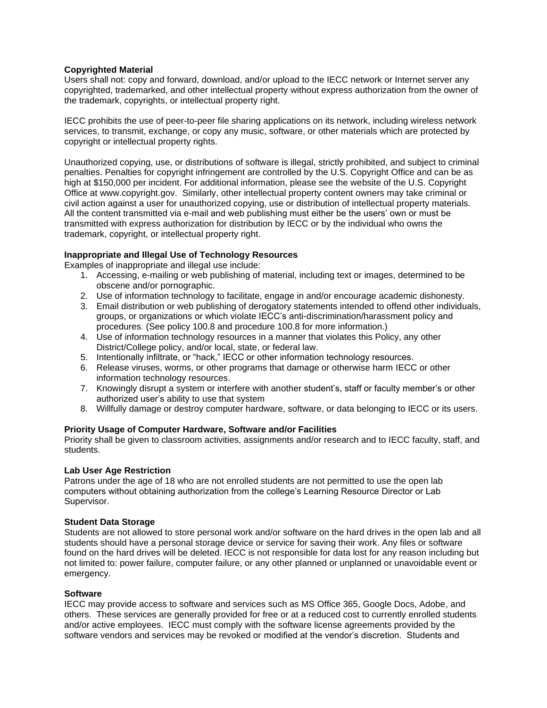# **Copyrighted Material**

Users shall not: copy and forward, download, and/or upload to the IECC network or Internet server any copyrighted, trademarked, and other intellectual property without express authorization from the owner of the trademark, copyrights, or intellectual property right.

IECC prohibits the use of peer-to-peer file sharing applications on its network, including wireless network services, to transmit, exchange, or copy any music, software, or other materials which are protected by copyright or intellectual property rights.

Unauthorized copying, use, or distributions of software is illegal, strictly prohibited, and subject to criminal penalties. Penalties for copyright infringement are controlled by the U.S. Copyright Office and can be as high at \$150,000 per incident. For additional information, please see the website of the U.S. Copyright Office at www.copyright.gov.Similarly, other intellectual property content owners may take criminal or civil action against a user for unauthorized copying, use or distribution of intellectual property materials. All the content transmitted via e-mail and web publishing must either be the users' own or must be transmitted with express authorization for distribution by IECC or by the individual who owns the trademark, copyright, or intellectual property right.

# **Inappropriate and Illegal Use of Technology Resources**

Examples of inappropriate and illegal use include:

- 1. Accessing, e-mailing or web publishing of material, including text or images, determined to be obscene and/or pornographic.
- 2. Use of information technology to facilitate, engage in and/or encourage academic dishonesty.
- 3. Email distribution or web publishing of derogatory statements intended to offend other individuals, groups, or organizations or which violate IECC's anti-discrimination/harassment policy and procedures*.* (See policy 100.8 and procedure 100.8 for more information.)
- 4. Use of information technology resources in a manner that violates this Policy, any other District/College policy, and/or local, state, or federal law.
- 5. Intentionally infiltrate, or "hack," IECC or other information technology resources.
- 6. Release viruses, worms, or other programs that damage or otherwise harm IECC or other information technology resources.
- 7. Knowingly disrupt a system or interfere with another student's, staff or faculty member's or other authorized user's ability to use that system
- 8. Willfully damage or destroy computer hardware, software, or data belonging to IECC or its users.

## **Priority Usage of Computer Hardware, Software and/or Facilities**

Priority shall be given to classroom activities, assignments and/or research and to IECC faculty, staff, and students.

## **Lab User Age Restriction**

Patrons under the age of 18 who are not enrolled students are not permitted to use the open lab computers without obtaining authorization from the college's Learning Resource Director or Lab Supervisor.

## **Student Data Storage**

Students are not allowed to store personal work and/or software on the hard drives in the open lab and all students should have a personal storage device or service for saving their work. Any files or software found on the hard drives will be deleted. IECC is not responsible for data lost for any reason including but not limited to: power failure, computer failure, or any other planned or unplanned or unavoidable event or emergency.

## **Software**

IECC may provide access to software and services such as MS Office 365, Google Docs, Adobe, and others. These services are generally provided for free or at a reduced cost to currently enrolled students and/or active employees. IECC must comply with the software license agreements provided by the software vendors and services may be revoked or modified at the vendor's discretion. Students and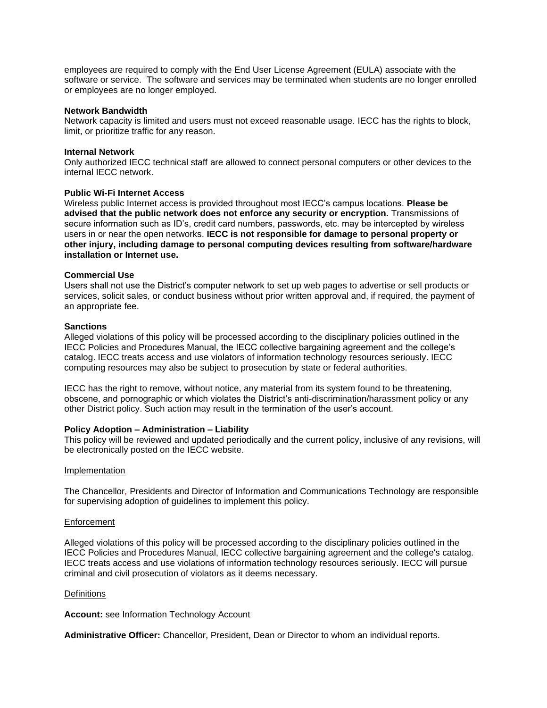employees are required to comply with the End User License Agreement (EULA) associate with the software or service. The software and services may be terminated when students are no longer enrolled or employees are no longer employed.

#### **Network Bandwidth**

Network capacity is limited and users must not exceed reasonable usage. IECC has the rights to block, limit, or prioritize traffic for any reason.

#### **Internal Network**

Only authorized IECC technical staff are allowed to connect personal computers or other devices to the internal IECC network.

#### **Public Wi-Fi Internet Access**

Wireless public Internet access is provided throughout most IECC's campus locations. **Please be advised that the public network does not enforce any security or encryption.** Transmissions of secure information such as ID's, credit card numbers, passwords, etc. may be intercepted by wireless users in or near the open networks. **IECC is not responsible for damage to personal property or other injury, including damage to personal computing devices resulting from software/hardware installation or Internet use.**

#### **Commercial Use**

Users shall not use the District's computer network to set up web pages to advertise or sell products or services, solicit sales, or conduct business without prior written approval and, if required, the payment of an appropriate fee.

#### **Sanctions**

Alleged violations of this policy will be processed according to the disciplinary policies outlined in the IECC Policies and Procedures Manual, the IECC collective bargaining agreement and the college's catalog. IECC treats access and use violators of information technology resources seriously. IECC computing resources may also be subject to prosecution by state or federal authorities.

IECC has the right to remove, without notice, any material from its system found to be threatening, obscene, and pornographic or which violates the District's anti-discrimination/harassment policy or any other District policy. Such action may result in the termination of the user's account.

## **Policy Adoption – Administration – Liability**

This policy will be reviewed and updated periodically and the current policy, inclusive of any revisions, will be electronically posted on the IECC website.

#### Implementation

The Chancellor*,* Presidents and Director of Information and Communications Technology are responsible for supervising adoption of guidelines to implement this policy.

## Enforcement

Alleged violations of this policy will be processed according to the disciplinary policies outlined in the IECC Policies and Procedures Manual, IECC collective bargaining agreement and the college's catalog. IECC treats access and use violations of information technology resources seriously. IECC will pursue criminal and civil prosecution of violators as it deems necessary.

#### **Definitions**

**Account:** see Information Technology Account

**Administrative Officer:** Chancellor, President, Dean or Director to whom an individual reports.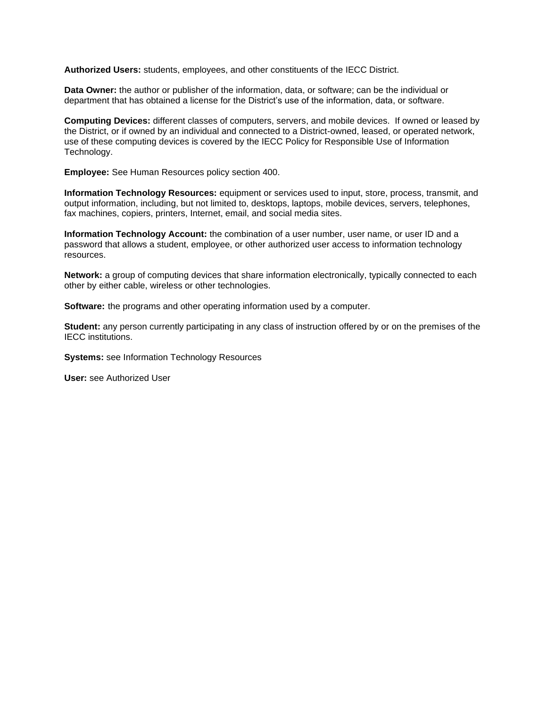**Authorized Users:** students, employees, and other constituents of the IECC District.

**Data Owner:** the author or publisher of the information, data, or software; can be the individual or department that has obtained a license for the District's use of the information, data, or software.

**Computing Devices:** different classes of computers, servers, and mobile devices. If owned or leased by the District, or if owned by an individual and connected to a District-owned, leased, or operated network, use of these computing devices is covered by the IECC Policy for Responsible Use of Information Technology.

**Employee:** See Human Resources policy section 400.

**Information Technology Resources:** equipment or services used to input, store, process, transmit, and output information, including, but not limited to, desktops, laptops, mobile devices, servers, telephones, fax machines, copiers, printers, Internet, email, and social media sites.

**Information Technology Account:** the combination of a user number, user name, or user ID and a password that allows a student, employee, or other authorized user access to information technology resources.

**Network:** a group of computing devices that share information electronically, typically connected to each other by either cable, wireless or other technologies.

**Software:** the programs and other operating information used by a computer.

**Student:** any person currently participating in any class of instruction offered by or on the premises of the IECC institutions.

**Systems:** see Information Technology Resources

**User:** see Authorized User